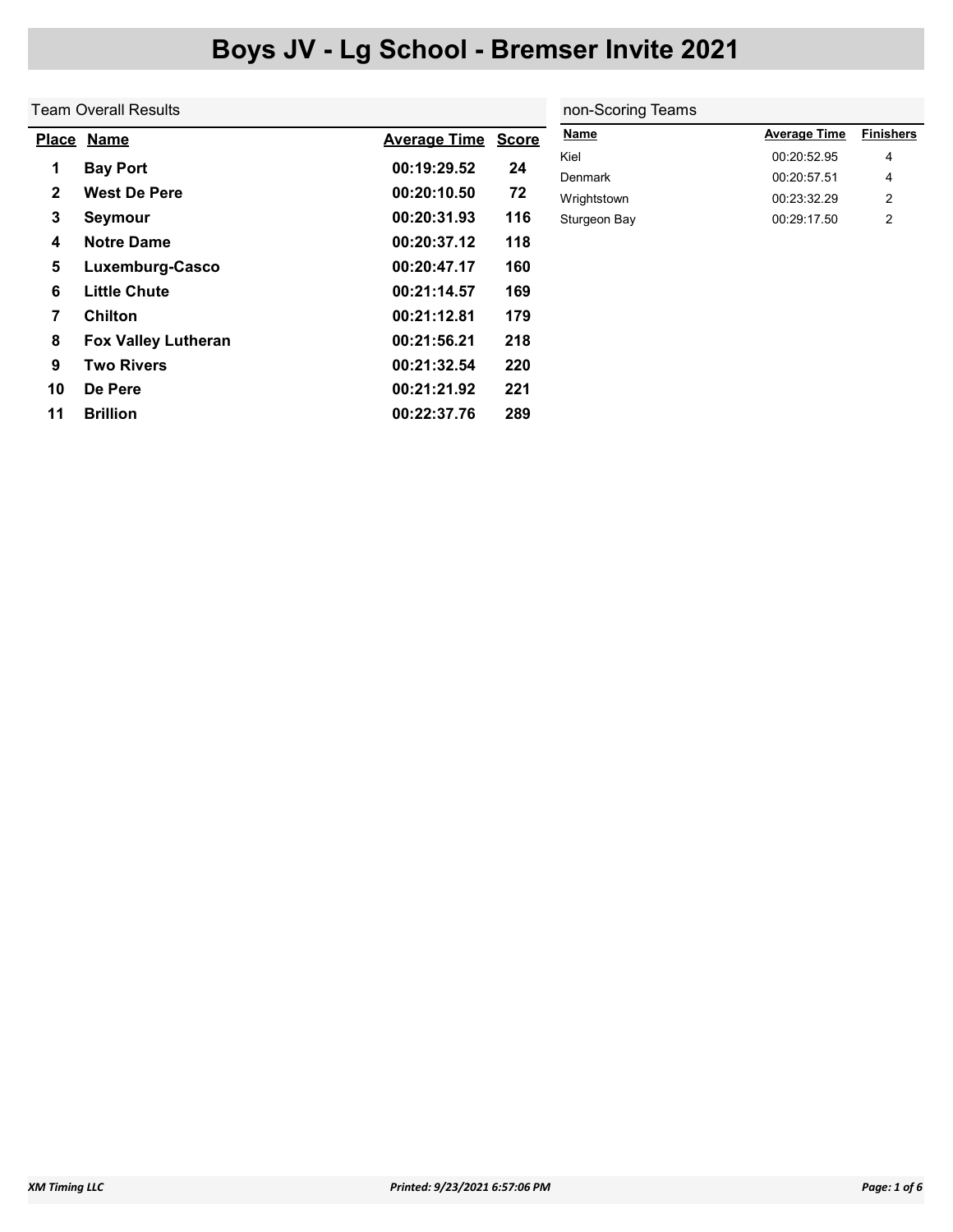|              | Team Overall Results       |                     | non-Scoring Teams |                        |                            |                  |  |
|--------------|----------------------------|---------------------|-------------------|------------------------|----------------------------|------------------|--|
|              | Place Name                 | <b>Average Time</b> | <b>Score</b>      | <b>Name</b>            | <b>Average Time</b>        | <b>Finishers</b> |  |
| 1            | <b>Bay Port</b>            | 00:19:29.52         | 24                | Kiel                   | 00:20:52.95                | 4                |  |
| $\mathbf{2}$ | <b>West De Pere</b>        | 00:20:10.50         | 72                | Denmark<br>Wrightstown | 00:20:57.51<br>00:23:32.29 | 4<br>2           |  |
| 3            | Seymour                    | 00:20:31.93         | 116               | Sturgeon Bay           | 00:29:17.50                | $\overline{2}$   |  |
| 4            | <b>Notre Dame</b>          | 00:20:37.12         | 118               |                        |                            |                  |  |
| 5            | Luxemburg-Casco            | 00:20:47.17         | 160               |                        |                            |                  |  |
| 6            | <b>Little Chute</b>        | 00:21:14.57         | 169               |                        |                            |                  |  |
| 7            | <b>Chilton</b>             | 00:21:12.81         | 179               |                        |                            |                  |  |
| 8            | <b>Fox Valley Lutheran</b> | 00:21:56.21         | 218               |                        |                            |                  |  |
| 9            | <b>Two Rivers</b>          | 00:21:32.54         | 220               |                        |                            |                  |  |
| 10           | De Pere                    | 00:21:21.92         | 221               |                        |                            |                  |  |
| 11           | <b>Brillion</b>            | 00:22:37.76         | 289               |                        |                            |                  |  |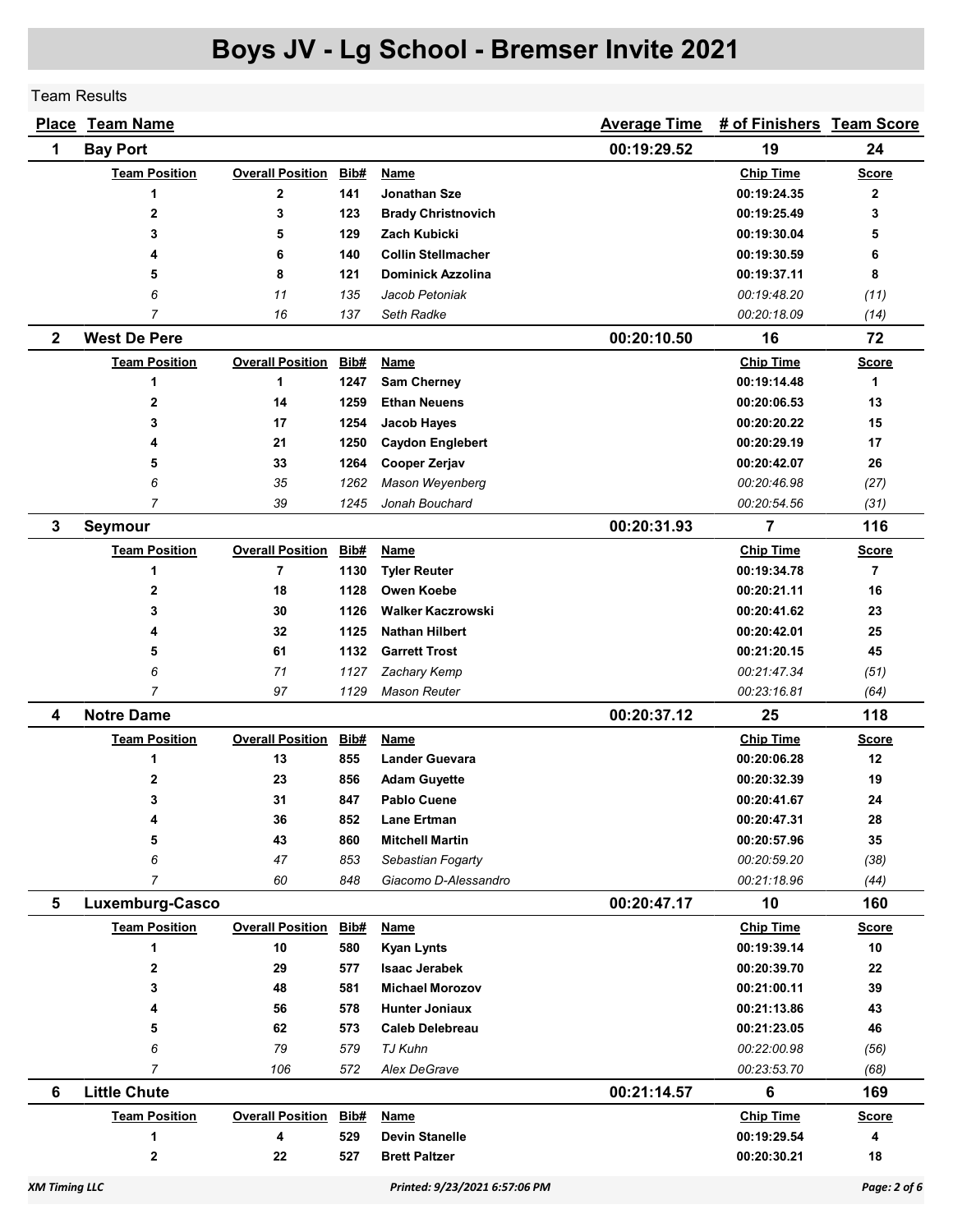Team Results

|              | Place Team Name      | <b>Average Time</b>     | # of Finishers Team Score |                           |             |                  |                |
|--------------|----------------------|-------------------------|---------------------------|---------------------------|-------------|------------------|----------------|
| 1            | <b>Bay Port</b>      |                         |                           |                           | 00:19:29.52 | 24               |                |
|              | <b>Team Position</b> | <b>Overall Position</b> | Bib#                      | Name                      |             | <b>Chip Time</b> | <b>Score</b>   |
|              | 1                    | $\mathbf 2$             | 141                       | <b>Jonathan Sze</b>       |             | 00:19:24.35      | $\mathbf{2}$   |
|              | $\mathbf{2}$         | 3                       | 123                       | <b>Brady Christnovich</b> |             | 00:19:25.49      | 3              |
|              | 3                    | 5                       | 129                       | Zach Kubicki              |             | 00:19:30.04      | 5              |
|              | 4                    | 6                       | 140                       | <b>Collin Stellmacher</b> |             | 00:19:30.59      | 6              |
|              | 5                    | 8                       | 121                       | <b>Dominick Azzolina</b>  |             | 00:19:37.11      | 8              |
|              | 6                    | 11                      | 135                       | Jacob Petoniak            |             | 00:19:48.20      | (11)           |
|              | 7                    | 16                      | 137                       | Seth Radke                |             | 00:20:18.09      | (14)           |
| $\mathbf{2}$ | <b>West De Pere</b>  |                         |                           |                           | 00:20:10.50 | 16               | 72             |
|              | <b>Team Position</b> | <b>Overall Position</b> | Bib#                      | Name                      |             | <b>Chip Time</b> | <b>Score</b>   |
|              | 1                    | 1                       | 1247                      | <b>Sam Cherney</b>        |             | 00:19:14.48      | 1              |
|              | $\mathbf{2}$         | 14                      | 1259                      | <b>Ethan Neuens</b>       |             | 00:20:06.53      | 13             |
|              | 3                    | 17                      | 1254                      | Jacob Hayes               |             | 00:20:20.22      | 15             |
|              | 4                    | 21                      | 1250                      | <b>Caydon Englebert</b>   |             | 00:20:29.19      | 17             |
|              | 5                    | 33                      | 1264                      | <b>Cooper Zerjav</b>      |             | 00:20:42.07      | 26             |
|              | 6                    | 35                      | 1262                      | Mason Weyenberg           |             | 00:20:46.98      | (27)           |
|              | $\overline{7}$       | 39                      | 1245                      | Jonah Bouchard            |             | 00:20:54.56      | (31)           |
| 3            | <b>Seymour</b>       |                         |                           |                           | 00:20:31.93 | $\overline{7}$   | 116            |
|              | <b>Team Position</b> | <b>Overall Position</b> | <u>Bib#</u>               | Name                      |             | <b>Chip Time</b> | <b>Score</b>   |
|              | 1                    | 7                       | 1130                      | <b>Tyler Reuter</b>       |             | 00:19:34.78      | $\overline{7}$ |
|              | 2                    | 18                      | 1128                      | <b>Owen Koebe</b>         |             | 00:20:21.11      | 16             |
|              | 3                    | 30                      | 1126                      | <b>Walker Kaczrowski</b>  |             | 00:20:41.62      | 23             |
|              | 4                    | 32                      | 1125                      | <b>Nathan Hilbert</b>     |             | 00:20:42.01      | 25             |
|              | 5                    | 61                      | 1132                      | <b>Garrett Trost</b>      |             | 00:21:20.15      | 45             |
|              | 6                    | 71                      | 1127                      | Zachary Kemp              |             | 00:21:47.34      | (51)           |
|              | $\overline{7}$       | 97                      | 1129                      | <b>Mason Reuter</b>       |             | 00:23:16.81      | (64)           |
| 4            | <b>Notre Dame</b>    |                         |                           |                           | 00:20:37.12 | 25               | 118            |
|              | <b>Team Position</b> | <b>Overall Position</b> | Bib#                      | <b>Name</b>               |             | <b>Chip Time</b> | <b>Score</b>   |
|              | 1                    | 13                      | 855                       | <b>Lander Guevara</b>     |             | 00:20:06.28      | 12             |
|              | 2                    | 23                      | 856                       | <b>Adam Guyette</b>       |             | 00:20:32.39      | 19             |
|              | 3                    | 31                      | 847                       | <b>Pablo Cuene</b>        |             | 00:20:41.67      | 24             |
|              | 4                    | 36                      | 852                       | <b>Lane Ertman</b>        |             | 00:20:47.31      | 28             |
|              | 5                    | 43                      | 860                       | <b>Mitchell Martin</b>    |             | 00:20:57.96      | 35             |
|              | 6                    | 47                      | 853                       | Sebastian Fogarty         |             | 00:20:59.20      | (38)           |
|              | $\overline{7}$       | 60                      | 848                       | Giacomo D-Alessandro      |             | 00:21:18.96      | (44)           |
| 5            | Luxemburg-Casco      |                         |                           |                           | 00:20:47.17 | 10               | 160            |
|              | <b>Team Position</b> | <b>Overall Position</b> | Bib#                      | <b>Name</b>               |             | <b>Chip Time</b> | <b>Score</b>   |
|              | 1                    | 10                      | 580                       | <b>Kyan Lynts</b>         |             | 00:19:39.14      | 10             |
|              | $\mathbf{2}$         | 29                      | 577                       | <b>Isaac Jerabek</b>      |             | 00:20:39.70      | 22             |
|              | 3                    | 48                      | 581                       | <b>Michael Morozov</b>    |             | 00:21:00.11      | 39             |
|              | 4                    | 56                      | 578                       | <b>Hunter Joniaux</b>     |             | 00:21:13.86      | 43             |
|              | 5                    | 62                      | 573                       | <b>Caleb Delebreau</b>    |             | 00:21:23.05      | 46             |
|              | 6                    | 79                      | 579                       | TJ Kuhn                   |             | 00:22:00.98      | (56)           |
|              | $\overline{7}$       | 106                     | 572                       | Alex DeGrave              |             | 00:23:53.70      | (68)           |
| 6            | <b>Little Chute</b>  |                         |                           |                           | 00:21:14.57 | 6                | 169            |
|              | <b>Team Position</b> | <b>Overall Position</b> | Bib#                      | Name                      |             | <b>Chip Time</b> | <b>Score</b>   |
|              | 1                    | 4                       | 529                       | <b>Devin Stanelle</b>     |             | 00:19:29.54      | 4              |
|              | $\mathbf{2}$         | 22                      | 527                       | <b>Brett Paltzer</b>      |             | 00:20:30.21      | 18             |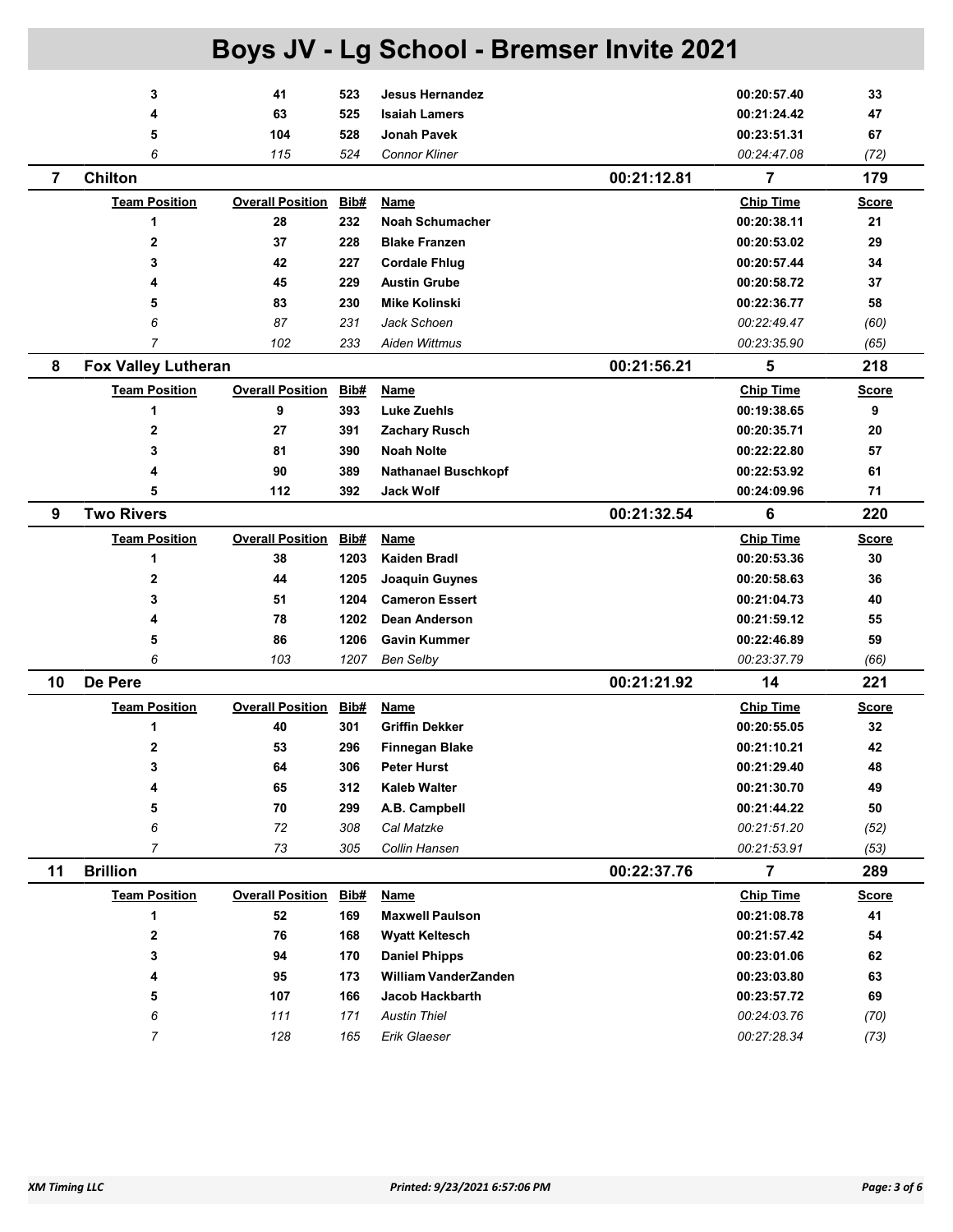|    |                            |                         |             | Boys JV - Lg School - Bremser Invite 2021 |             |                  |              |
|----|----------------------------|-------------------------|-------------|-------------------------------------------|-------------|------------------|--------------|
|    | 3                          | 41                      | 523         | <b>Jesus Hernandez</b>                    |             | 00:20:57.40      | 33           |
|    | 4                          | 63                      | 525         | <b>Isaiah Lamers</b>                      |             | 00:21:24.42      | 47           |
|    | 5                          | 104                     | 528         | <b>Jonah Pavek</b>                        |             | 00:23:51.31      | 67           |
|    | 6                          | 115                     | 524         | <b>Connor Kliner</b>                      |             | 00:24:47.08      | (72)         |
| 7  | <b>Chilton</b>             |                         |             |                                           | 00:21:12.81 | $\overline{7}$   | 179          |
|    | <b>Team Position</b>       | <b>Overall Position</b> | Bib#        | Name                                      |             | <b>Chip Time</b> | <u>Score</u> |
|    | 1                          | 28                      | 232         | <b>Noah Schumacher</b>                    |             | 00:20:38.11      | 21           |
|    | 2                          | 37                      | 228         | <b>Blake Franzen</b>                      |             | 00:20:53.02      | 29           |
|    | 3                          | 42                      | 227         | <b>Cordale Fhlug</b>                      |             | 00:20:57.44      | 34           |
|    | 4                          | 45                      | 229         | <b>Austin Grube</b>                       |             | 00:20:58.72      | 37           |
|    | 5                          | 83                      | 230         | <b>Mike Kolinski</b>                      |             | 00:22:36.77      | 58           |
|    | 6                          | 87                      | 231         | Jack Schoen                               |             | 00:22:49.47      | (60)         |
|    | $\overline{7}$             | 102                     | 233         | <b>Aiden Wittmus</b>                      |             | 00:23:35.90      | (65)         |
| 8  |                            |                         |             |                                           | 00:21:56.21 | 5                | 218          |
|    | <b>Fox Valley Lutheran</b> |                         |             |                                           |             |                  |              |
|    | <b>Team Position</b>       | <b>Overall Position</b> | Bib#        | <b>Name</b>                               |             | <b>Chip Time</b> | <b>Score</b> |
|    | 1                          | 9                       | 393         | <b>Luke Zuehls</b>                        |             | 00:19:38.65      | 9            |
|    | 2                          | 27                      | 391         | <b>Zachary Rusch</b>                      |             | 00:20:35.71      | 20           |
|    | 3                          | 81                      | 390         | <b>Noah Nolte</b>                         |             | 00:22:22.80      | 57           |
|    | 4                          | 90                      | 389         | <b>Nathanael Buschkopf</b>                |             | 00:22:53.92      | 61           |
|    | 5                          | 112                     | 392         | <b>Jack Wolf</b>                          |             | 00:24:09.96      | 71           |
| 9  | <b>Two Rivers</b>          |                         |             |                                           | 00:21:32.54 | 6                | 220          |
|    | <b>Team Position</b>       | <b>Overall Position</b> | Bib#        | Name                                      |             | <b>Chip Time</b> | <u>Score</u> |
|    | 1                          | 38                      | 1203        | Kaiden Bradl                              |             | 00:20:53.36      | 30           |
|    | 2                          | 44                      | 1205        | Joaquin Guynes                            |             | 00:20:58.63      | 36           |
|    | 3                          | 51                      | 1204        | <b>Cameron Essert</b>                     |             | 00:21:04.73      | 40           |
|    | 4                          | 78                      | 1202        | Dean Anderson                             |             | 00:21:59.12      | 55           |
|    | 5                          | 86                      | 1206        | <b>Gavin Kummer</b>                       |             | 00:22:46.89      | 59           |
|    | 6                          | 103                     | 1207        | <b>Ben Selby</b>                          |             | 00:23:37.79      | (66)         |
| 10 | De Pere                    |                         |             |                                           | 00:21:21.92 | 14               | 221          |
|    | <b>Team Position</b>       | <b>Overall Position</b> | Bib#        | Name                                      |             | <b>Chip Time</b> | <u>Score</u> |
|    | 1                          | 40                      | 301         | <b>Griffin Dekker</b>                     |             | 00:20:55.05      | 32           |
|    | 2                          | 53                      | 296         | <b>Finnegan Blake</b>                     |             | 00:21:10.21      | 42           |
|    | 3                          | 64                      | 306         | <b>Peter Hurst</b>                        |             | 00:21:29.40      | 48           |
|    | 4                          | 65                      | 312         | <b>Kaleb Walter</b>                       |             | 00:21:30.70      | 49           |
|    | 5                          | 70                      | 299         | A.B. Campbell                             |             | 00:21:44.22      | 50           |
|    | 6                          | 72                      | 308         | Cal Matzke                                |             | 00:21:51.20      | (52)         |
|    | $\overline{7}$             | 73                      | 305         | Collin Hansen                             |             | 00:21:53.91      | (53)         |
| 11 | <b>Brillion</b>            |                         |             |                                           | 00:22:37.76 | $\overline{7}$   | 289          |
|    | <b>Team Position</b>       | <b>Overall Position</b> | <b>Bib#</b> | <b>Name</b>                               |             | <b>Chip Time</b> | <b>Score</b> |
|    | 1                          | 52                      | 169         | <b>Maxwell Paulson</b>                    |             | 00:21:08.78      | 41           |
|    | 2                          | 76                      | 168         | <b>Wyatt Keltesch</b>                     |             | 00:21:57.42      | 54           |
|    | 3                          | 94                      | 170         | <b>Daniel Phipps</b>                      |             | 00:23:01.06      | 62           |
|    | 4                          | 95                      | 173         | William VanderZanden                      |             | 00:23:03.80      | 63           |
|    | 5                          | 107                     | 166         | Jacob Hackbarth                           |             | 00:23:57.72      | 69           |
|    | 6                          | 111                     | 171         | <b>Austin Thiel</b>                       |             | 00:24:03.76      | (70)         |
|    | 7                          | 128                     | 165         | Erik Glaeser                              |             | 00:27:28.34      | (73)         |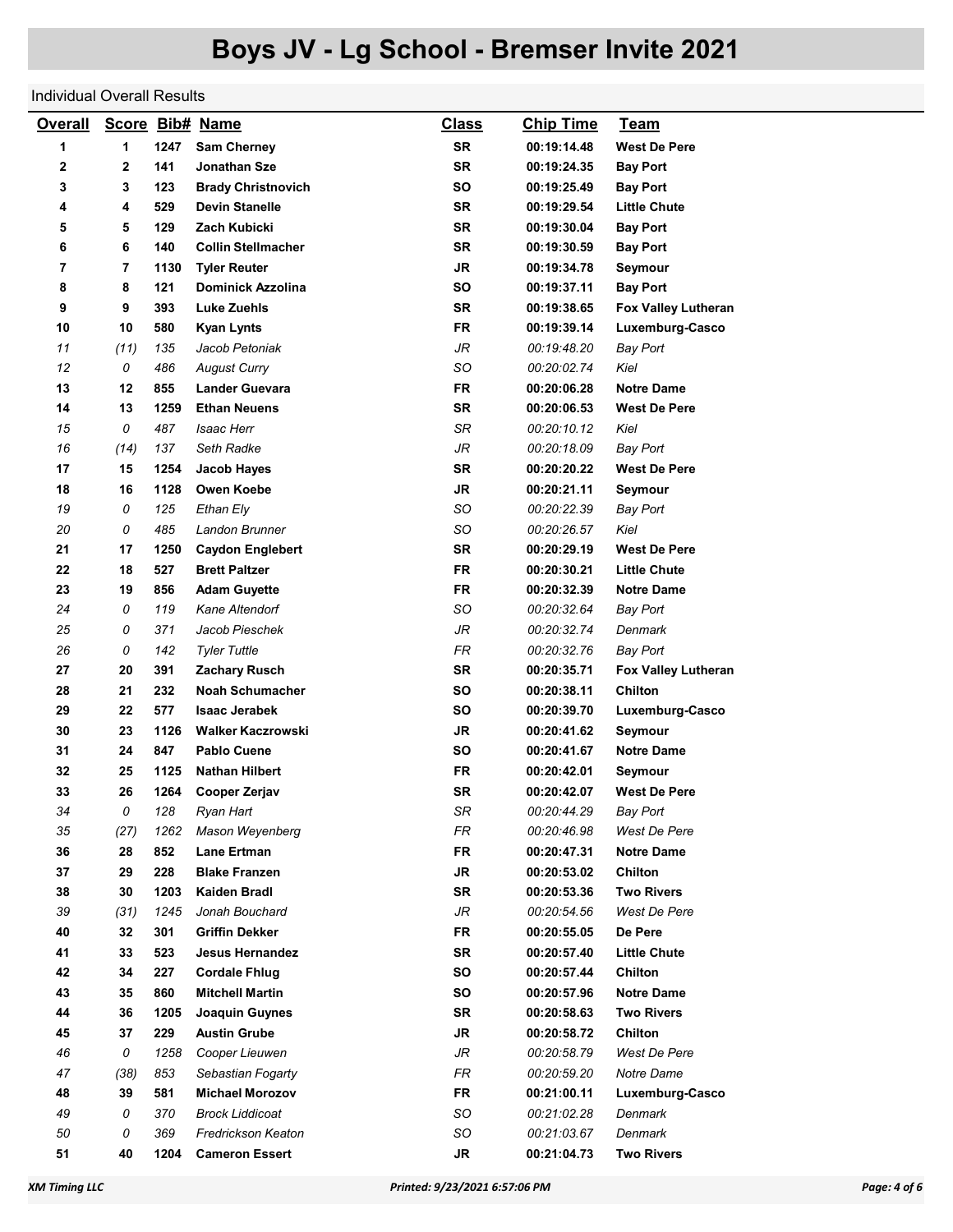#### Individual Overall Results

| <b>Overall</b> |                |      | Score Bib# Name           | <b>Class</b> | <b>Chip Time</b> | <u>Team</u>                |
|----------------|----------------|------|---------------------------|--------------|------------------|----------------------------|
| 1              | 1              | 1247 | <b>Sam Cherney</b>        | <b>SR</b>    | 00:19:14.48      | <b>West De Pere</b>        |
| 2              | $\mathbf{2}$   | 141  | Jonathan Sze              | <b>SR</b>    | 00:19:24.35      | <b>Bay Port</b>            |
| 3              | 3              | 123  | <b>Brady Christnovich</b> | <b>SO</b>    | 00:19:25.49      | <b>Bay Port</b>            |
| 4              | 4              | 529  | <b>Devin Stanelle</b>     | <b>SR</b>    | 00:19:29.54      | <b>Little Chute</b>        |
| 5              | 5              | 129  | Zach Kubicki              | <b>SR</b>    | 00:19:30.04      | <b>Bay Port</b>            |
| 6              | 6              | 140  | <b>Collin Stellmacher</b> | <b>SR</b>    | 00:19:30.59      | <b>Bay Port</b>            |
| 7              | $\overline{7}$ | 1130 | <b>Tyler Reuter</b>       | <b>JR</b>    | 00:19:34.78      | Seymour                    |
| 8              | 8              | 121  | <b>Dominick Azzolina</b>  | SO           | 00:19:37.11      | <b>Bay Port</b>            |
| 9              | 9              | 393  | <b>Luke Zuehls</b>        | <b>SR</b>    | 00:19:38.65      | <b>Fox Valley Lutheran</b> |
| 10             | 10             | 580  | <b>Kyan Lynts</b>         | <b>FR</b>    | 00:19:39.14      | Luxemburg-Casco            |
| 11             | (11)           | 135  | Jacob Petoniak            | JR           | 00:19:48.20      | <b>Bay Port</b>            |
| 12             | 0              | 486  | <b>August Curry</b>       | SO           | 00:20:02.74      | Kiel                       |
| 13             | 12             | 855  | <b>Lander Guevara</b>     | <b>FR</b>    | 00:20:06.28      | <b>Notre Dame</b>          |
| 14             | 13             | 1259 | <b>Ethan Neuens</b>       | <b>SR</b>    | 00:20:06.53      | West De Pere               |
| 15             | 0              | 487  | <b>Isaac Herr</b>         | SR           | 00:20:10.12      | Kiel                       |
| 16             | (14)           | 137  | Seth Radke                | JR           | 00:20:18.09      | <b>Bay Port</b>            |
| 17             | 15             | 1254 | Jacob Hayes               | <b>SR</b>    | 00:20:20.22      | <b>West De Pere</b>        |
| 18             | 16             | 1128 | <b>Owen Koebe</b>         | <b>JR</b>    | 00:20:21.11      | Seymour                    |
| 19             | 0              | 125  | Ethan Ely                 | SO           | 00:20:22.39      | <b>Bay Port</b>            |
| 20             | 0              | 485  | Landon Brunner            | SO           | 00:20:26.57      | Kiel                       |
| 21             | 17             | 1250 | <b>Caydon Englebert</b>   | <b>SR</b>    | 00:20:29.19      | <b>West De Pere</b>        |
| 22             | 18             | 527  | <b>Brett Paltzer</b>      | <b>FR</b>    | 00:20:30.21      | <b>Little Chute</b>        |
| 23             | 19             | 856  | <b>Adam Guyette</b>       | <b>FR</b>    | 00:20:32.39      | <b>Notre Dame</b>          |
| 24             | 0              | 119  | Kane Altendorf            | SO           | 00:20:32.64      | <b>Bay Port</b>            |
| 25             | 0              | 371  | Jacob Pieschek            | JR           | 00:20:32.74      | Denmark                    |
| 26             | 0              | 142  | <b>Tyler Tuttle</b>       | <b>FR</b>    | 00:20:32.76      | <b>Bay Port</b>            |
| 27             | 20             | 391  | <b>Zachary Rusch</b>      | <b>SR</b>    | 00:20:35.71      | Fox Valley Lutheran        |
| 28             | 21             | 232  | <b>Noah Schumacher</b>    | SO           | 00:20:38.11      | <b>Chilton</b>             |
| 29             | 22             | 577  | <b>Isaac Jerabek</b>      | SO           | 00:20:39.70      | Luxemburg-Casco            |
| 30             | 23             | 1126 | <b>Walker Kaczrowski</b>  | <b>JR</b>    | 00:20:41.62      | Seymour                    |
| 31             | 24             | 847  | <b>Pablo Cuene</b>        | <b>SO</b>    | 00:20:41.67      | <b>Notre Dame</b>          |
| 32             | 25             | 1125 | <b>Nathan Hilbert</b>     | <b>FR</b>    | 00:20:42.01      | Seymour                    |
| 33             | 26             | 1264 | Cooper Zerjav             | <b>SR</b>    | 00:20:42.07      | <b>West De Pere</b>        |
| 34             | 0              | 128  | Ryan Hart                 | SR           | 00:20:44.29      | Bay Port                   |
| 35             | (27)           | 1262 | Mason Weyenberg           | FR           | 00:20:46.98      | West De Pere               |
| 36             | 28             | 852  | <b>Lane Ertman</b>        | <b>FR</b>    | 00:20:47.31      | <b>Notre Dame</b>          |
| 37             | 29             | 228  | <b>Blake Franzen</b>      | <b>JR</b>    | 00:20:53.02      | Chilton                    |
| 38             | 30             | 1203 | Kaiden Bradl              | SR           | 00:20:53.36      | <b>Two Rivers</b>          |
| 39             | (31)           | 1245 | Jonah Bouchard            | JR           | 00:20:54.56      | West De Pere               |
| 40             | 32             | 301  | <b>Griffin Dekker</b>     | <b>FR</b>    | 00:20:55.05      | De Pere                    |
| 41             | 33             | 523  | <b>Jesus Hernandez</b>    | SR           | 00:20:57.40      | <b>Little Chute</b>        |
| 42             | 34             | 227  | <b>Cordale Fhlug</b>      | SO           | 00:20:57.44      | Chilton                    |
| 43             | 35             | 860  | <b>Mitchell Martin</b>    | SO           | 00:20:57.96      | <b>Notre Dame</b>          |
| 44             | 36             | 1205 | Joaquin Guynes            | SR           | 00:20:58.63      | <b>Two Rivers</b>          |
| 45             | 37             | 229  | <b>Austin Grube</b>       | JR           | 00:20:58.72      | Chilton                    |
| 46             | 0              | 1258 | Cooper Lieuwen            | JR           | 00:20:58.79      | West De Pere               |
| 47             | (38)           | 853  | Sebastian Fogarty         | FR           | 00:20:59.20      | Notre Dame                 |
| 48             | 39             | 581  | <b>Michael Morozov</b>    | FR           | 00:21:00.11      | Luxemburg-Casco            |
| 49             | 0              | 370  | Brock Liddicoat           | SO           | 00:21:02.28      | Denmark                    |
| 50             | 0              | 369  | Fredrickson Keaton        | SO           | 00:21:03.67      | Denmark                    |
| 51             | 40             | 1204 | <b>Cameron Essert</b>     | JR           | 00:21:04.73      | <b>Two Rivers</b>          |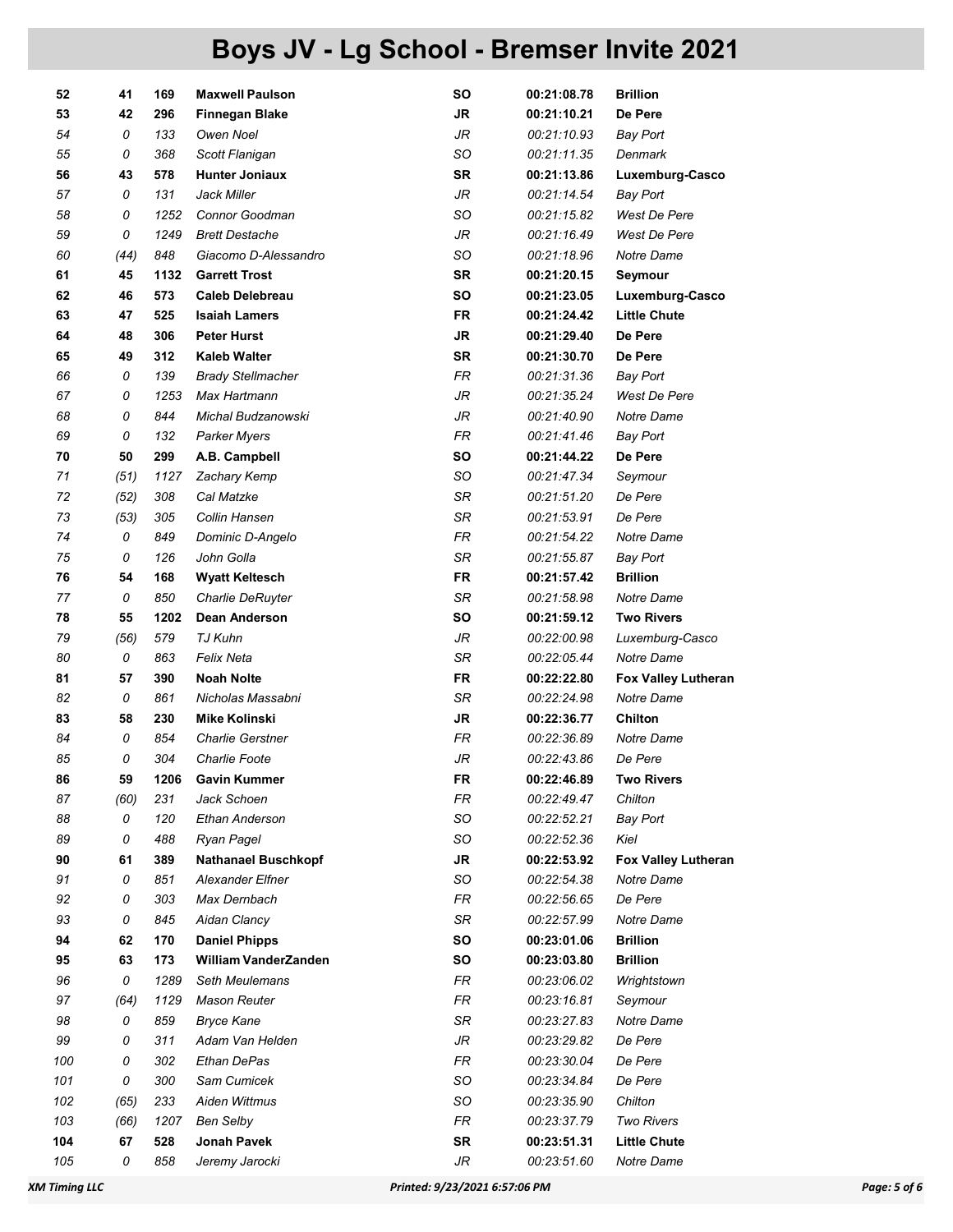| 52  | 41   | 169  | <b>Maxwell Paulson</b>     | SΟ        | 00:21:08.78 | <b>Brillion</b>            |
|-----|------|------|----------------------------|-----------|-------------|----------------------------|
| 53  | 42   | 296  | <b>Finnegan Blake</b>      | JR.       | 00:21:10.21 | De Pere                    |
| 54  | 0    | 133  | Owen Noel                  | JR        | 00:21:10.93 | <b>Bay Port</b>            |
| 55  | 0    | 368  | Scott Flanigan             | SO        | 00:21:11.35 | Denmark                    |
| 56  | 43   | 578  | <b>Hunter Joniaux</b>      | SR        | 00:21:13.86 | Luxemburg-Casco            |
| 57  | 0    | 131  | Jack Miller                | JR        | 00:21:14.54 | <b>Bay Port</b>            |
| 58  | 0    | 1252 | Connor Goodman             | SO        | 00:21:15.82 | West De Pere               |
| 59  | 0    | 1249 | <b>Brett Destache</b>      | JR        | 00:21:16.49 | West De Pere               |
| 60  | (44) | 848  | Giacomo D-Alessandro       | SO        | 00:21:18.96 | Notre Dame                 |
| 61  | 45   | 1132 | <b>Garrett Trost</b>       | <b>SR</b> | 00:21:20.15 | Seymour                    |
| 62  | 46   | 573  | <b>Caleb Delebreau</b>     | SO        | 00:21:23.05 | Luxemburg-Casco            |
| 63  | 47   | 525  | <b>Isaiah Lamers</b>       | <b>FR</b> | 00:21:24.42 | <b>Little Chute</b>        |
| 64  | 48   | 306  | <b>Peter Hurst</b>         | <b>JR</b> | 00:21:29.40 | De Pere                    |
| 65  | 49   | 312  | <b>Kaleb Walter</b>        | <b>SR</b> | 00:21:30.70 | De Pere                    |
| 66  | 0    | 139  | <b>Brady Stellmacher</b>   | FR        | 00:21:31.36 | <b>Bay Port</b>            |
| 67  | 0    | 1253 | Max Hartmann               | JR        | 00:21:35.24 | West De Pere               |
| 68  | 0    | 844  | Michal Budzanowski         | JR        | 00:21:40.90 | Notre Dame                 |
| 69  | 0    | 132  | Parker Myers               | <b>FR</b> | 00:21:41.46 | <b>Bay Port</b>            |
| 70  | 50   | 299  | A.B. Campbell              | SO        | 00:21:44.22 | De Pere                    |
| 71  | (51) | 1127 | Zachary Kemp               | SO        | 00:21:47.34 | Seymour                    |
| 72  | (52) | 308  | Cal Matzke                 | SR        | 00:21:51.20 | De Pere                    |
| 73  | (53) | 305  | Collin Hansen              | SR        | 00:21:53.91 | De Pere                    |
| 74  | 0    | 849  | Dominic D-Angelo           | <b>FR</b> | 00:21:54.22 | Notre Dame                 |
| 75  | 0    | 126  | John Golla                 | SR        | 00:21:55.87 | <b>Bay Port</b>            |
| 76  | 54   | 168  | <b>Wyatt Keltesch</b>      | <b>FR</b> | 00:21:57.42 | <b>Brillion</b>            |
| 77  | 0    | 850  | Charlie DeRuyter           | SR        | 00:21:58.98 | Notre Dame                 |
| 78  | 55   | 1202 | Dean Anderson              | SO        | 00:21:59.12 | Two Rivers                 |
| 79  | (56) | 579  | TJ Kuhn                    | JR        | 00:22:00.98 | Luxemburg-Casco            |
| 80  | 0    | 863  | Felix Neta                 | SR        | 00:22:05.44 | Notre Dame                 |
| 81  | 57   | 390  | <b>Noah Nolte</b>          | FR        | 00:22:22.80 | <b>Fox Valley Lutheran</b> |
| 82  | 0    | 861  | Nicholas Massabni          | <b>SR</b> | 00:22:24.98 | Notre Dame                 |
| 83  | 58   | 230  | <b>Mike Kolinski</b>       | JR        | 00:22:36.77 | Chilton                    |
| 84  | 0    | 854  | <b>Charlie Gerstner</b>    | FR        | 00:22:36.89 | Notre Dame                 |
| 85  | 0    | 304  | <b>Charlie Foote</b>       | JR        | 00:22:43.86 | De Pere                    |
| 86  | 59   | 1206 | <b>Gavin Kummer</b>        | FR        | 00:22:46.89 | <b>Two Rivers</b>          |
| 87  | (60) | 231  | Jack Schoen                | FR        | 00:22:49.47 | Chilton                    |
| 88  | 0    | 120  | Ethan Anderson             | SO        | 00:22:52.21 | <b>Bay Port</b>            |
| 89  | 0    | 488  | Ryan Pagel                 | SO        | 00:22:52.36 | Kiel                       |
| 90  | 61   | 389  | <b>Nathanael Buschkopf</b> | JR        | 00:22:53.92 | <b>Fox Valley Lutheran</b> |
| 91  | 0    | 851  | Alexander Elfner           | SO        | 00:22:54.38 | Notre Dame                 |
| 92  | 0    | 303  | Max Dernbach               | FR        | 00:22:56.65 | De Pere                    |
| 93  | 0    | 845  | Aidan Clancy               | SR        | 00:22:57.99 | Notre Dame                 |
| 94  | 62   | 170  | <b>Daniel Phipps</b>       | SO        | 00:23:01.06 | <b>Brillion</b>            |
| 95  | 63   | 173  | William VanderZanden       | SO        | 00:23:03.80 | <b>Brillion</b>            |
| 96  | 0    | 1289 | Seth Meulemans             | FR        | 00:23:06.02 | Wrightstown                |
| 97  | (64) | 1129 | Mason Reuter               | FR        | 00:23:16.81 | Seymour                    |
| 98  | 0    | 859  | <b>Bryce Kane</b>          | SR        | 00:23:27.83 | Notre Dame                 |
| 99  | 0    | 311  | Adam Van Helden            | JR        | 00:23:29.82 | De Pere                    |
| 100 | 0    | 302  | Ethan DePas                | FR        | 00:23:30.04 | De Pere                    |
| 101 | 0    | 300  | Sam Cumicek                | SO        | 00:23:34.84 | De Pere                    |
| 102 | (65) | 233  | Aiden Wittmus              | SO        | 00:23:35.90 | Chilton                    |
| 103 | (66) | 1207 | <b>Ben Selby</b>           | FR        | 00:23:37.79 | Two Rivers                 |
| 104 | 67   | 528  | Jonah Pavek                | SR        | 00:23:51.31 | <b>Little Chute</b>        |
| 105 | 0    | 858  | Jeremy Jarocki             | JR        | 00:23:51.60 | Notre Dame                 |